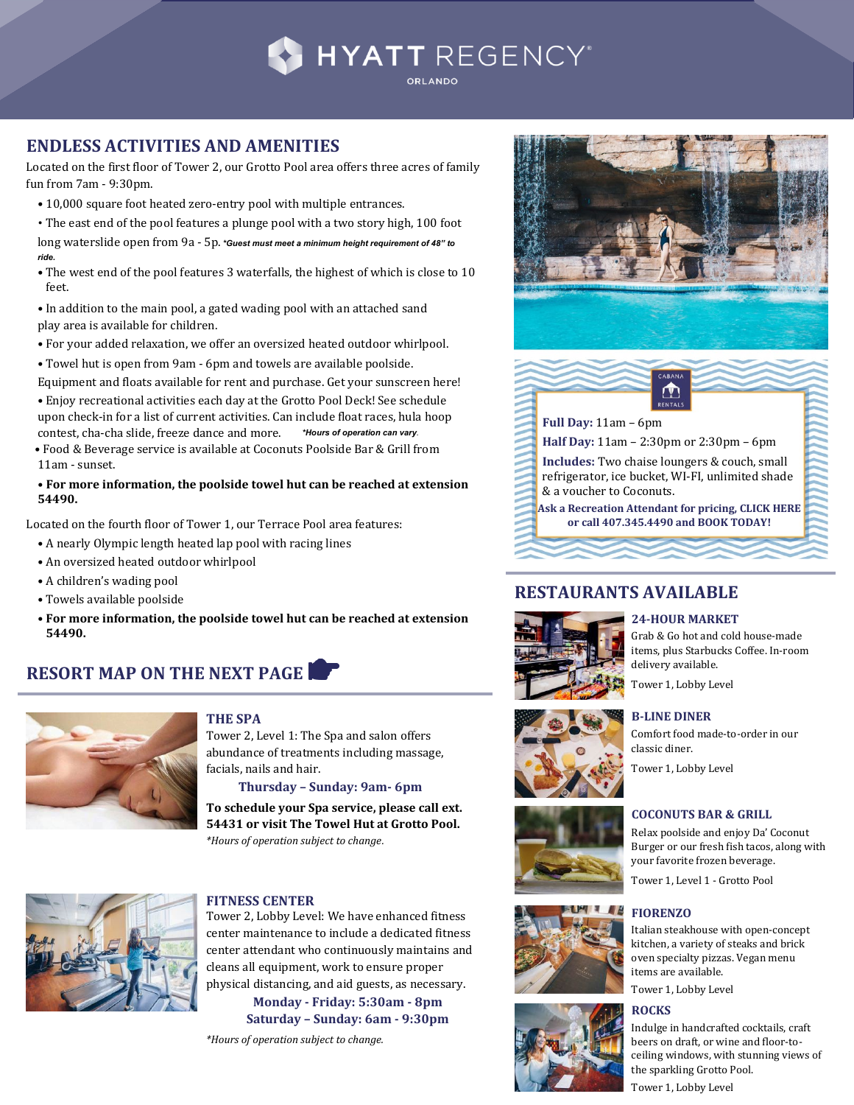

# **ENDLESS ACTIVITIES AND AMENITIES**

Located on the first floor of Tower 2, our Grotto Pool area offers three acres of family fun from 7am - 9:30pm.

• 10,000 square foot heated zero-entry pool with multiple entrances.

• The east end of the pool features a plunge pool with a two story high, 100 foot long waterslide open from 9a - 5p. *\*Guest must meet a minimum height requirement of 48" to ride.*

• The west end of the pool features 3 waterfalls, the highest of which is close to 10 feet.

• In addition to the main pool, a gated wading pool with an attached sand play area is available for children.

• For your added relaxation, we offer an oversized heated outdoor whirlpool.

• Towel hut is open from 9am - 6pm and towels are available poolside.

Equipment and floats available for rent and purchase. Get your sunscreen here!

• Enjoy recreational activities each day at the Grotto Pool Deck! See schedule upon check-in for a list of current activities. Can include float races, hula hoop contest, cha-cha slide, freeze dance and more. *\*Hours of operation can vary.*

 • Food & Beverage service is available at Coconuts Poolside Bar & Grill from 11am - sunset.

#### **• For more information, the poolside towel hut can be reached at extension 54490.**

Located on the fourth floor of Tower 1, our Terrace Pool area features:

- A nearly Olympic length heated lap pool with racing lines
- An oversized heated outdoor whirlpool
- A children's wading pool
- Towels available poolside
- **For more information, the poolside towel hut can be reached at extension 54490.**

# **RESORT MAP ON THE NEXT PAGE**



### **THE SPA**

Tower 2, Level 1: The Spa and salon offers abundance of treatments including massage, facials, nails and hair.

**Thursday – Sunday: 9am- 6pm**

**To schedule your Spa service, please call ext. 54431 or visit The Towel Hut at Grotto Pool.** *\*Hours of operation subject to change.*



#### **FITNESS CENTER**

Tower 2, Lobby Level: We have enhanced fitness center maintenance to include a dedicated fitness center attendant who continuously maintains and cleans all equipment, work to ensure proper physical distancing, and aid guests, as necessary.

**Monday - Friday: 5:30am - 8pm Saturday – Sunday: 6am - 9:30pm**

*\*Hours of operation subject to change.* 





**[RESTAURANTS AVAILABLE](https://www.hyatt.com/en-US/hotel/florida/hyatt-regency-orlando/mcoro/dining)**

**Full Day:** 11am – 6pm

**Half Day:** 11am – 2:30pm or 2:30pm – 6pm

**Includes:** Two chaise loungers & couch, small refrigerator, ice bucket, WI-FI, unlimited shade & a voucher to Coconuts.

**Ask a Recreation Attendant for pricing[, CLICK HERE](https://na.spatime.com/hro32819/65585961/spa-service/service-item/151407006) or cal[l 407.345.4490 a](tel:4073454490)nd BOOK TODAY!**



#### **24-HOUR MARKET**

Grab & Go hot and cold house-made items, plus Starbucks Coffee. In-room delivery available.

Tower 1, Lobby Level

**B-LINE DINER**









Relax poolside and enjoy Da' Coconut Burger or our fresh fish tacos, along with your favorite frozen beverage.

Tower 1, Level 1 - Grotto Pool

## **FIORENZO**

Italian steakhouse with open-concept kitchen, a variety of steaks and brick oven specialty pizzas. Vegan menu items are available.

Tower 1, Lobby Level

#### **ROCKS**

Indulge in handcrafted cocktails, craft beers on draft, or wine and floor-toceiling windows, with stunning views of the sparkling Grotto Pool.

Tower 1, Lobby Level

Comfort food made-to-order in our classic diner. Tower 1, Lobby Level